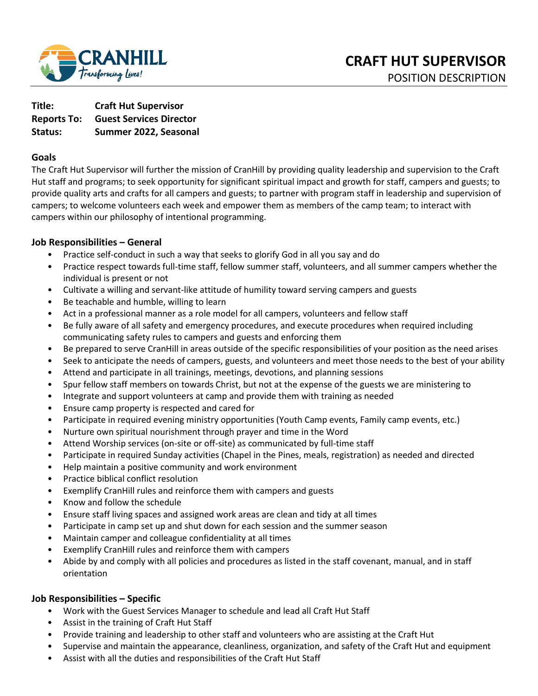

**Title: Craft Hut Supervisor Reports To: Guest Services Director Status: Summer 2022, Seasonal** 

## **Goals**

The Craft Hut Supervisor will further the mission of CranHill by providing quality leadership and supervision to the Craft Hut staff and programs; to seek opportunity for significant spiritual impact and growth for staff, campers and guests; to provide quality arts and crafts for all campers and guests; to partner with program staff in leadership and supervision of campers; to welcome volunteers each week and empower them as members of the camp team; to interact with campers within our philosophy of intentional programming.

## **Job Responsibilities – General**

- Practice self-conduct in such a way that seeks to glorify God in all you say and do
- Practice respect towards full-time staff, fellow summer staff, volunteers, and all summer campers whether the individual is present or not
- Cultivate a willing and servant-like attitude of humility toward serving campers and guests
- Be teachable and humble, willing to learn
- Act in a professional manner as a role model for all campers, volunteers and fellow staff
- Be fully aware of all safety and emergency procedures, and execute procedures when required including communicating safety rules to campers and guests and enforcing them
- Be prepared to serve CranHill in areas outside of the specific responsibilities of your position as the need arises
- Seek to anticipate the needs of campers, guests, and volunteers and meet those needs to the best of your ability
- Attend and participate in all trainings, meetings, devotions, and planning sessions
- Spur fellow staff members on towards Christ, but not at the expense of the guests we are ministering to
- Integrate and support volunteers at camp and provide them with training as needed
- Ensure camp property is respected and cared for
- Participate in required evening ministry opportunities (Youth Camp events, Family camp events, etc.)
- Nurture own spiritual nourishment through prayer and time in the Word
- Attend Worship services (on-site or off-site) as communicated by full-time staff
- Participate in required Sunday activities (Chapel in the Pines, meals, registration) as needed and directed
- Help maintain a positive community and work environment
- Practice biblical conflict resolution
- Exemplify CranHill rules and reinforce them with campers and guests
- Know and follow the schedule
- Ensure staff living spaces and assigned work areas are clean and tidy at all times
- Participate in camp set up and shut down for each session and the summer season
- Maintain camper and colleague confidentiality at all times
- Exemplify CranHill rules and reinforce them with campers
- Abide by and comply with all policies and procedures as listed in the staff covenant, manual, and in staff orientation

### **Job Responsibilities – Specific**

- Work with the Guest Services Manager to schedule and lead all Craft Hut Staff
- Assist in the training of Craft Hut Staff
- Provide training and leadership to other staff and volunteers who are assisting at the Craft Hut
- Supervise and maintain the appearance, cleanliness, organization, and safety of the Craft Hut and equipment
- Assist with all the duties and responsibilities of the Craft Hut Staff